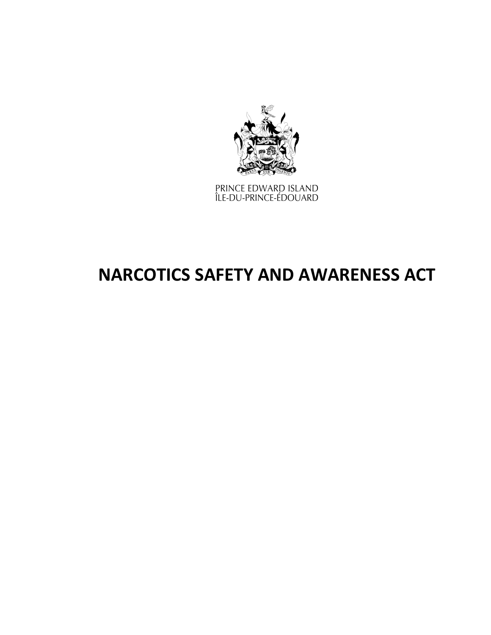

PRINCE EDWARD ISLAND<br>ÎLE-DU-PRINCE-ÉDOUARD

# **NARCOTICS SAFETY AND AWARENESS ACT**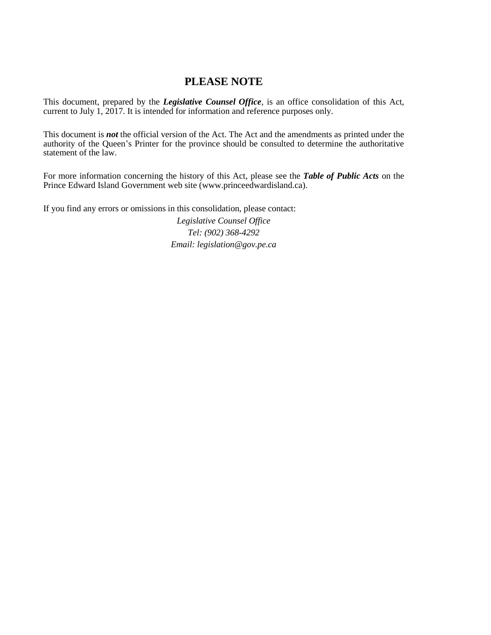## **PLEASE NOTE**

This document, prepared by the *[Legislative](http://www.gov.pe.ca/jps/index.php3?number=1027247) Counsel Office*, is an office consolidation of this Act, current to July 1, 2017. It is intended for information and reference purposes only.

This document is *not* the official version of the Act. The Act and the amendments as printed under the authority of the Queen's Printer for the province should be consulted to determine the authoritative statement of the law.

For more information concerning the history of this Act, please see the *[Table of Public Acts](https://www.princeedwardisland.ca/sites/default/files/publications/leg_table_acts.pdf)* on the Prince Edward Island Government web site (www.princeedwardisland.ca).

If you find any errors or omissions in this consolidation, please contact:

*Legislative Counsel Office Tel: (902) 368-4292 Email: legislation@gov.pe.ca*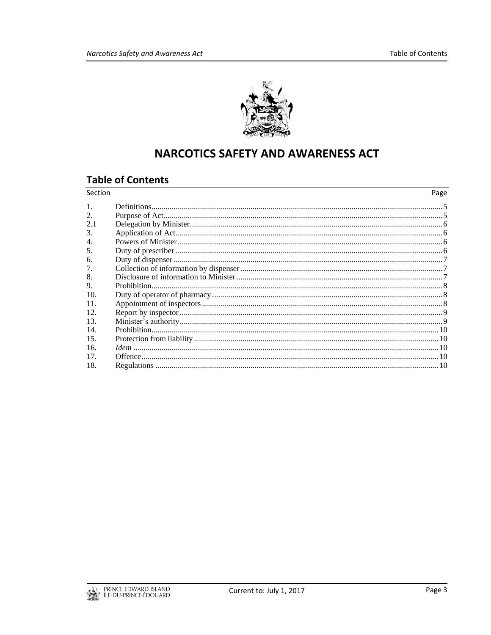

## **NARCOTICS SAFETY AND AWARENESS ACT**

## **Table of Contents**

| Section              | Page |
|----------------------|------|
|                      |      |
| 2.                   |      |
| 2.1                  |      |
| 3.                   |      |
| $\overline{4}$ .     |      |
| 5.                   |      |
| 6.                   |      |
| 7.                   |      |
| 8.                   |      |
| $\mathbf{Q}_{\perp}$ |      |
| 10.                  |      |
| 11.                  |      |
| 12.                  |      |
| 13.                  |      |
| 14.                  |      |
| 15.                  |      |
| 16.                  |      |
| 17.                  |      |
| 18.                  |      |

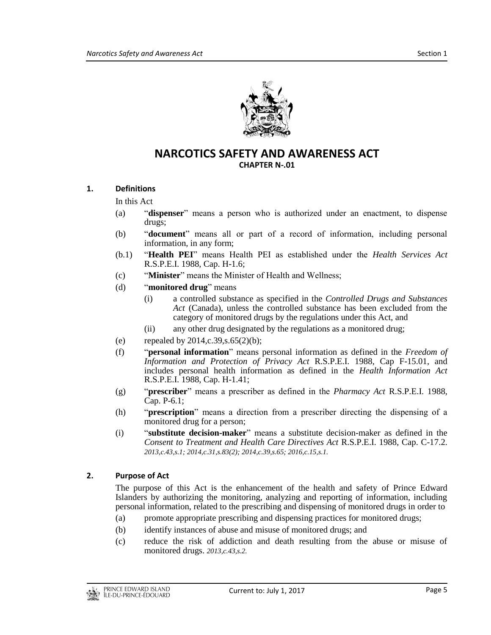

### **NARCOTICS SAFETY AND AWARENESS ACT CHAPTER N-.01**

#### <span id="page-4-0"></span>**1. Definitions**

#### In this Act

- (a) "**dispenser**" means a person who is authorized under an enactment, to dispense drugs;
- (b) "**document**" means all or part of a record of information, including personal information, in any form;
- (b.1) "**Health PEI**" means Health PEI as established under the *Health Services Act* R.S.P.E.I. 1988, Cap. H-1.6;
- (c) "**Minister**" means the Minister of Health and Wellness;
- (d) "**monitored drug**" means
	- (i) a controlled substance as specified in the *Controlled Drugs and Substances Act* (Canada), unless the controlled substance has been excluded from the category of monitored drugs by the regulations under this Act, and
	- (ii) any other drug designated by the regulations as a monitored drug;
- (e) repealed by  $2014, c.39, s.65(2)(b)$ ;
- (f) "**personal information**" means personal information as defined in the *Freedom of Information and Protection of Privacy Act* R.S.P.E.I. 1988, Cap F-15.01, and includes personal health information as defined in the *Health Information Act* R.S.P.E.I. 1988, Cap. H-1.41;
- (g) "**prescriber**" means a prescriber as defined in the *Pharmacy Act* R.S.P.E.I. 1988, Cap. P-6.1;
- (h) "**prescription**" means a direction from a prescriber directing the dispensing of a monitored drug for a person;
- (i) "**substitute decision-maker**" means a substitute decision-maker as defined in the *Consent to Treatment and Health Care Directives Act* R.S.P.E.I. 1988, Cap. C-17.2. *2013,c.43,s.1; 2014,c.31,s.83(2); 2014,c.39,s.65; 2016,c.15,s.1.*

#### <span id="page-4-1"></span>**2. Purpose of Act**

The purpose of this Act is the enhancement of the health and safety of Prince Edward Islanders by authorizing the monitoring, analyzing and reporting of information, including personal information, related to the prescribing and dispensing of monitored drugs in order to

- (a) promote appropriate prescribing and dispensing practices for monitored drugs;
- (b) identify instances of abuse and misuse of monitored drugs; and
- (c) reduce the risk of addiction and death resulting from the abuse or misuse of monitored drugs. *2013,c.43,s.2.*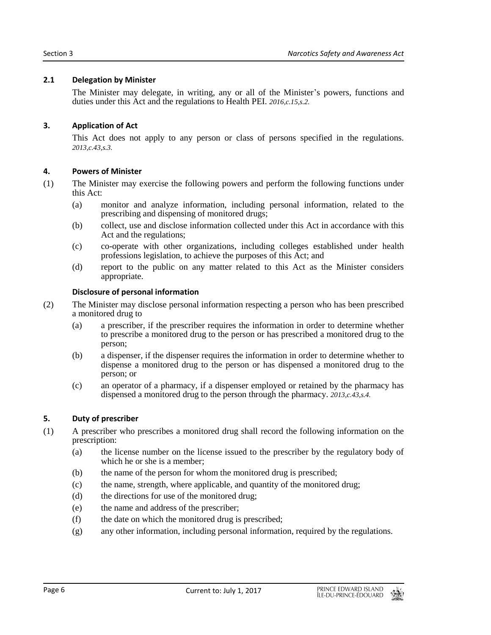#### <span id="page-5-0"></span>**2.1 Delegation by Minister**

The Minister may delegate, in writing, any or all of the Minister's powers, functions and duties under this Act and the regulations to Health PEI. *2016,c.15,s.2.*

#### <span id="page-5-1"></span>**3. Application of Act**

This Act does not apply to any person or class of persons specified in the regulations. *2013,c.43,s.3.*

#### <span id="page-5-2"></span>**4. Powers of Minister**

- (1) The Minister may exercise the following powers and perform the following functions under this Act:
	- (a) monitor and analyze information, including personal information, related to the prescribing and dispensing of monitored drugs;
	- (b) collect, use and disclose information collected under this Act in accordance with this Act and the regulations;
	- (c) co-operate with other organizations, including colleges established under health professions legislation, to achieve the purposes of this Act; and
	- (d) report to the public on any matter related to this Act as the Minister considers appropriate.

#### **Disclosure of personal information**

- (2) The Minister may disclose personal information respecting a person who has been prescribed a monitored drug to
	- (a) a prescriber, if the prescriber requires the information in order to determine whether to prescribe a monitored drug to the person or has prescribed a monitored drug to the person;
	- (b) a dispenser, if the dispenser requires the information in order to determine whether to dispense a monitored drug to the person or has dispensed a monitored drug to the person; or
	- (c) an operator of a pharmacy, if a dispenser employed or retained by the pharmacy has dispensed a monitored drug to the person through the pharmacy. *2013,c.43,s.4.*

#### <span id="page-5-3"></span>**5. Duty of prescriber**

- (1) A prescriber who prescribes a monitored drug shall record the following information on the prescription:
	- (a) the license number on the license issued to the prescriber by the regulatory body of which he or she is a member;
	- (b) the name of the person for whom the monitored drug is prescribed;
	- (c) the name, strength, where applicable, and quantity of the monitored drug;
	- (d) the directions for use of the monitored drug;
	- (e) the name and address of the prescriber;
	- (f) the date on which the monitored drug is prescribed;
	- (g) any other information, including personal information, required by the regulations.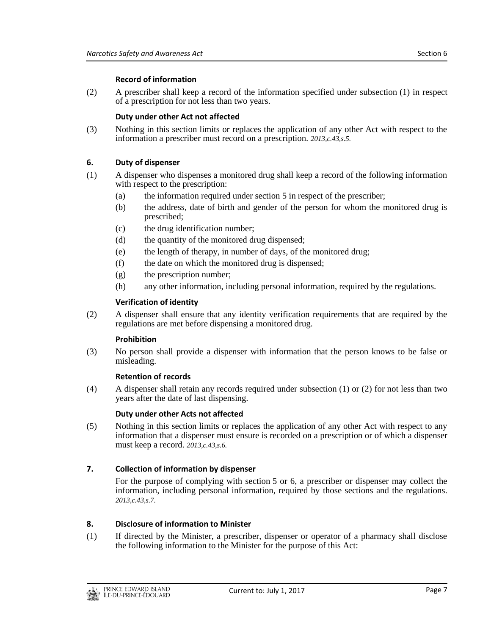#### **Record of information**

(2) A prescriber shall keep a record of the information specified under subsection (1) in respect of a prescription for not less than two years.

#### **Duty under other Act not affected**

(3) Nothing in this section limits or replaces the application of any other Act with respect to the information a prescriber must record on a prescription. *2013,c.43,s.5.*

#### <span id="page-6-0"></span>**6. Duty of dispenser**

- (1) A dispenser who dispenses a monitored drug shall keep a record of the following information with respect to the prescription:
	- (a) the information required under section 5 in respect of the prescriber;
	- (b) the address, date of birth and gender of the person for whom the monitored drug is prescribed;
	- (c) the drug identification number;
	- (d) the quantity of the monitored drug dispensed;
	- (e) the length of therapy, in number of days, of the monitored drug;
	- (f) the date on which the monitored drug is dispensed;
	- (g) the prescription number;
	- (h) any other information, including personal information, required by the regulations.

#### **Verification of identity**

(2) A dispenser shall ensure that any identity verification requirements that are required by the regulations are met before dispensing a monitored drug.

#### **Prohibition**

(3) No person shall provide a dispenser with information that the person knows to be false or misleading.

#### **Retention of records**

(4) A dispenser shall retain any records required under subsection (1) or (2) for not less than two years after the date of last dispensing.

#### **Duty under other Acts not affected**

(5) Nothing in this section limits or replaces the application of any other Act with respect to any information that a dispenser must ensure is recorded on a prescription or of which a dispenser must keep a record. *2013,c.43,s.6.*

#### <span id="page-6-1"></span>**7. Collection of information by dispenser**

For the purpose of complying with section 5 or 6, a prescriber or dispenser may collect the information, including personal information, required by those sections and the regulations. *2013,c.43,s.7.*

#### <span id="page-6-2"></span>**8. Disclosure of information to Minister**

(1) If directed by the Minister, a prescriber, dispenser or operator of a pharmacy shall disclose the following information to the Minister for the purpose of this Act: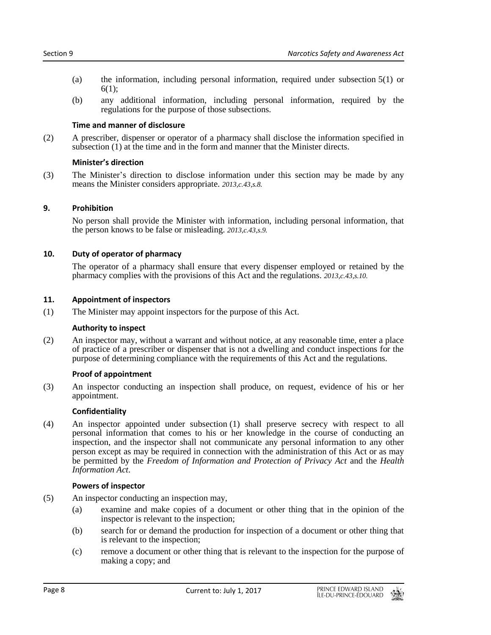- (a) the information, including personal information, required under subsection 5(1) or  $6(1)$ ;
- (b) any additional information, including personal information, required by the regulations for the purpose of those subsections.

#### **Time and manner of disclosure**

(2) A prescriber, dispenser or operator of a pharmacy shall disclose the information specified in subsection (1) at the time and in the form and manner that the Minister directs.

#### **Minister's direction**

(3) The Minister's direction to disclose information under this section may be made by any means the Minister considers appropriate. *2013,c.43,s.8.*

#### <span id="page-7-0"></span>**9. Prohibition**

No person shall provide the Minister with information, including personal information, that the person knows to be false or misleading. *2013,c.43,s.9.*

#### <span id="page-7-1"></span>**10. Duty of operator of pharmacy**

The operator of a pharmacy shall ensure that every dispenser employed or retained by the pharmacy complies with the provisions of this Act and the regulations. *2013,c.43,s.10.*

#### <span id="page-7-2"></span>**11. Appointment of inspectors**

(1) The Minister may appoint inspectors for the purpose of this Act.

#### **Authority to inspect**

(2) An inspector may, without a warrant and without notice, at any reasonable time, enter a place of practice of a prescriber or dispenser that is not a dwelling and conduct inspections for the purpose of determining compliance with the requirements of this Act and the regulations.

#### **Proof of appointment**

(3) An inspector conducting an inspection shall produce, on request, evidence of his or her appointment.

#### **Confidentiality**

(4) An inspector appointed under subsection (1) shall preserve secrecy with respect to all personal information that comes to his or her knowledge in the course of conducting an inspection, and the inspector shall not communicate any personal information to any other person except as may be required in connection with the administration of this Act or as may be permitted by the *Freedom of Information and Protection of Privacy Act* and the *Health Information Act*.

#### **Powers of inspector**

- (5) An inspector conducting an inspection may,
	- (a) examine and make copies of a document or other thing that in the opinion of the inspector is relevant to the inspection;
	- (b) search for or demand the production for inspection of a document or other thing that is relevant to the inspection;
	- (c) remove a document or other thing that is relevant to the inspection for the purpose of making a copy; and

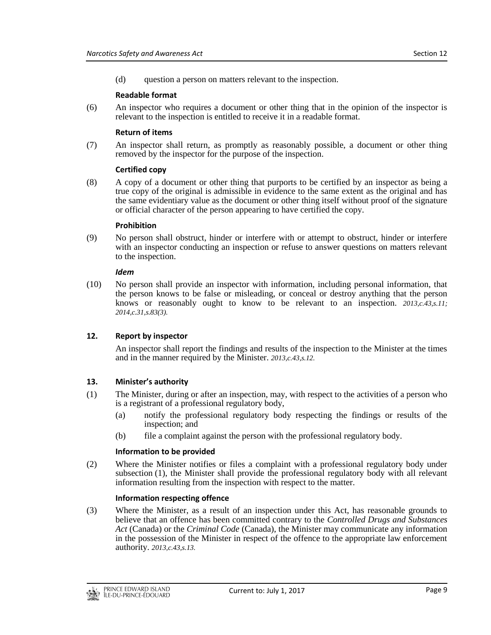(d) question a person on matters relevant to the inspection.

#### **Readable format**

(6) An inspector who requires a document or other thing that in the opinion of the inspector is relevant to the inspection is entitled to receive it in a readable format.

#### **Return of items**

(7) An inspector shall return, as promptly as reasonably possible, a document or other thing removed by the inspector for the purpose of the inspection.

#### **Certified copy**

(8) A copy of a document or other thing that purports to be certified by an inspector as being a true copy of the original is admissible in evidence to the same extent as the original and has the same evidentiary value as the document or other thing itself without proof of the signature or official character of the person appearing to have certified the copy.

#### **Prohibition**

(9) No person shall obstruct, hinder or interfere with or attempt to obstruct, hinder or interfere with an inspector conducting an inspection or refuse to answer questions on matters relevant to the inspection.

#### *Idem*

(10) No person shall provide an inspector with information, including personal information, that the person knows to be false or misleading, or conceal or destroy anything that the person knows or reasonably ought to know to be relevant to an inspection. *2013,c.43,s.11; 2014,c.31,s.83(3).*

#### <span id="page-8-0"></span>**12. Report by inspector**

An inspector shall report the findings and results of the inspection to the Minister at the times and in the manner required by the Minister. *2013,c.43,s.12.*

#### <span id="page-8-1"></span>**13. Minister's authority**

- (1) The Minister, during or after an inspection, may, with respect to the activities of a person who is a registrant of a professional regulatory body,
	- (a) notify the professional regulatory body respecting the findings or results of the inspection; and
	- (b) file a complaint against the person with the professional regulatory body.

#### **Information to be provided**

(2) Where the Minister notifies or files a complaint with a professional regulatory body under subsection (1), the Minister shall provide the professional regulatory body with all relevant information resulting from the inspection with respect to the matter.

#### **Information respecting offence**

(3) Where the Minister, as a result of an inspection under this Act, has reasonable grounds to believe that an offence has been committed contrary to the *Controlled Drugs and Substances Act* (Canada) or the *Criminal Code* (Canada), the Minister may communicate any information in the possession of the Minister in respect of the offence to the appropriate law enforcement authority. *2013,c.43,s.13.*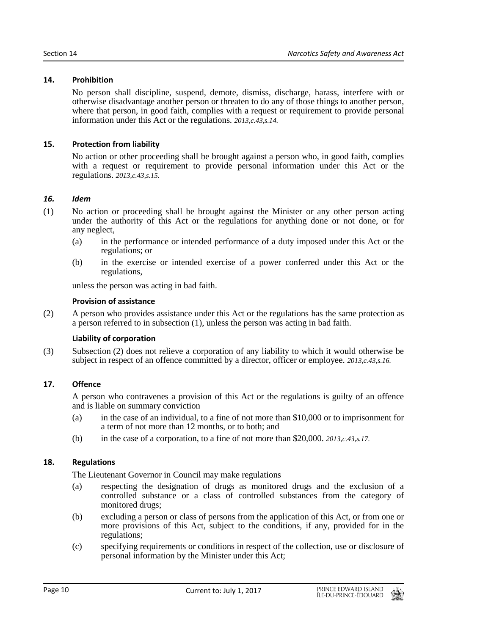#### <span id="page-9-0"></span>**14. Prohibition**

No person shall discipline, suspend, demote, dismiss, discharge, harass, interfere with or otherwise disadvantage another person or threaten to do any of those things to another person, where that person, in good faith, complies with a request or requirement to provide personal information under this Act or the regulations. *2013,c.43,s.14.*

#### <span id="page-9-1"></span>**15. Protection from liability**

No action or other proceeding shall be brought against a person who, in good faith, complies with a request or requirement to provide personal information under this Act or the regulations. *2013,c.43,s.15.*

#### <span id="page-9-2"></span>*16. Idem*

- (1) No action or proceeding shall be brought against the Minister or any other person acting under the authority of this Act or the regulations for anything done or not done, or for any neglect,
	- (a) in the performance or intended performance of a duty imposed under this Act or the regulations; or
	- (b) in the exercise or intended exercise of a power conferred under this Act or the regulations,

unless the person was acting in bad faith.

#### **Provision of assistance**

(2) A person who provides assistance under this Act or the regulations has the same protection as a person referred to in subsection (1), unless the person was acting in bad faith.

#### **Liability of corporation**

(3) Subsection (2) does not relieve a corporation of any liability to which it would otherwise be subject in respect of an offence committed by a director, officer or employee. *2013,c.43,s.16.*

#### <span id="page-9-3"></span>**17. Offence**

A person who contravenes a provision of this Act or the regulations is guilty of an offence and is liable on summary conviction

- (a) in the case of an individual, to a fine of not more than \$10,000 or to imprisonment for a term of not more than 12 months, or to both; and
- (b) in the case of a corporation, to a fine of not more than \$20,000. *2013,c.43,s.17.*

#### <span id="page-9-4"></span>**18. Regulations**

The Lieutenant Governor in Council may make regulations

- (a) respecting the designation of drugs as monitored drugs and the exclusion of a controlled substance or a class of controlled substances from the category of monitored drugs;
- (b) excluding a person or class of persons from the application of this Act, or from one or more provisions of this Act, subject to the conditions, if any, provided for in the regulations;
- (c) specifying requirements or conditions in respect of the collection, use or disclosure of personal information by the Minister under this Act;